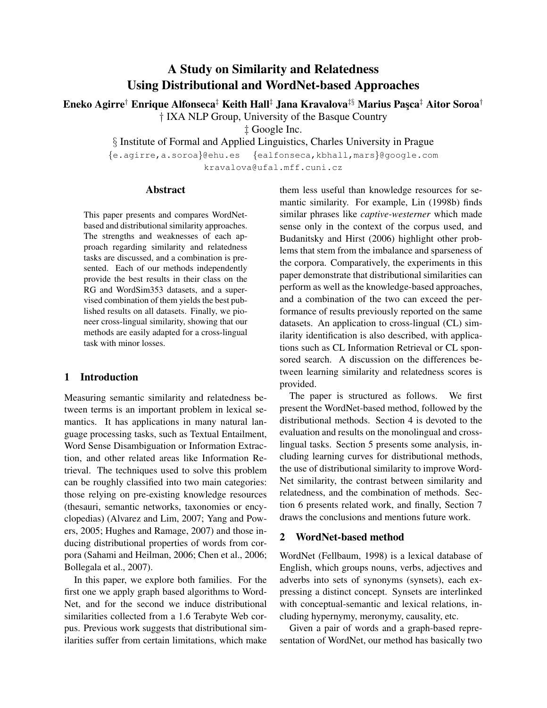# A Study on Similarity and Relatedness Using Distributional and WordNet-based Approaches

Eneko Agirre<sup>†</sup> Enrique Alfonseca<sup>‡</sup> Keith Hall<sup>‡</sup> Jana Kravalova<sup>‡§</sup> Marius Pasca<sup>‡</sup> Aitor Soroa<sup>†</sup>

† IXA NLP Group, University of the Basque Country

‡ Google Inc.

§ Institute of Formal and Applied Linguistics, Charles University in Prague

{e.agirre,a.soroa}@ehu.es {ealfonseca,kbhall,mars}@google.com

kravalova@ufal.mff.cuni.cz

## Abstract

This paper presents and compares WordNetbased and distributional similarity approaches. The strengths and weaknesses of each approach regarding similarity and relatedness tasks are discussed, and a combination is presented. Each of our methods independently provide the best results in their class on the RG and WordSim353 datasets, and a supervised combination of them yields the best published results on all datasets. Finally, we pioneer cross-lingual similarity, showing that our methods are easily adapted for a cross-lingual task with minor losses.

# 1 Introduction

Measuring semantic similarity and relatedness between terms is an important problem in lexical semantics. It has applications in many natural language processing tasks, such as Textual Entailment, Word Sense Disambiguation or Information Extraction, and other related areas like Information Retrieval. The techniques used to solve this problem can be roughly classified into two main categories: those relying on pre-existing knowledge resources (thesauri, semantic networks, taxonomies or encyclopedias) (Alvarez and Lim, 2007; Yang and Powers, 2005; Hughes and Ramage, 2007) and those inducing distributional properties of words from corpora (Sahami and Heilman, 2006; Chen et al., 2006; Bollegala et al., 2007).

In this paper, we explore both families. For the first one we apply graph based algorithms to Word-Net, and for the second we induce distributional similarities collected from a 1.6 Terabyte Web corpus. Previous work suggests that distributional similarities suffer from certain limitations, which make them less useful than knowledge resources for semantic similarity. For example, Lin (1998b) finds similar phrases like *captive-westerner* which made sense only in the context of the corpus used, and Budanitsky and Hirst (2006) highlight other problems that stem from the imbalance and sparseness of the corpora. Comparatively, the experiments in this paper demonstrate that distributional similarities can perform as well as the knowledge-based approaches, and a combination of the two can exceed the performance of results previously reported on the same datasets. An application to cross-lingual (CL) similarity identification is also described, with applications such as CL Information Retrieval or CL sponsored search. A discussion on the differences between learning similarity and relatedness scores is provided.

The paper is structured as follows. We first present the WordNet-based method, followed by the distributional methods. Section 4 is devoted to the evaluation and results on the monolingual and crosslingual tasks. Section 5 presents some analysis, including learning curves for distributional methods, the use of distributional similarity to improve Word-Net similarity, the contrast between similarity and relatedness, and the combination of methods. Section 6 presents related work, and finally, Section 7 draws the conclusions and mentions future work.

# 2 WordNet-based method

WordNet (Fellbaum, 1998) is a lexical database of English, which groups nouns, verbs, adjectives and adverbs into sets of synonyms (synsets), each expressing a distinct concept. Synsets are interlinked with conceptual-semantic and lexical relations, including hypernymy, meronymy, causality, etc.

Given a pair of words and a graph-based representation of WordNet, our method has basically two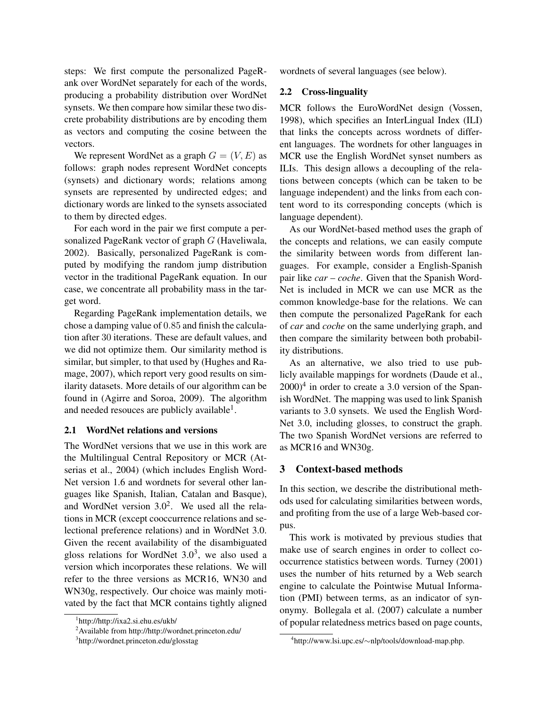steps: We first compute the personalized PageRank over WordNet separately for each of the words, producing a probability distribution over WordNet synsets. We then compare how similar these two discrete probability distributions are by encoding them as vectors and computing the cosine between the vectors.

We represent WordNet as a graph  $G = (V, E)$  as follows: graph nodes represent WordNet concepts (synsets) and dictionary words; relations among synsets are represented by undirected edges; and dictionary words are linked to the synsets associated to them by directed edges.

For each word in the pair we first compute a personalized PageRank vector of graph G (Haveliwala, 2002). Basically, personalized PageRank is computed by modifying the random jump distribution vector in the traditional PageRank equation. In our case, we concentrate all probability mass in the target word.

Regarding PageRank implementation details, we chose a damping value of 0.85 and finish the calculation after 30 iterations. These are default values, and we did not optimize them. Our similarity method is similar, but simpler, to that used by (Hughes and Ramage, 2007), which report very good results on similarity datasets. More details of our algorithm can be found in (Agirre and Soroa, 2009). The algorithm and needed resouces are publicly available<sup>1</sup>.

### 2.1 WordNet relations and versions

The WordNet versions that we use in this work are the Multilingual Central Repository or MCR (Atserias et al., 2004) (which includes English Word-Net version 1.6 and wordnets for several other languages like Spanish, Italian, Catalan and Basque), and WordNet version  $3.0<sup>2</sup>$ . We used all the relations in MCR (except cooccurrence relations and selectional preference relations) and in WordNet 3.0. Given the recent availability of the disambiguated gloss relations for WordNet  $3.0<sup>3</sup>$ , we also used a version which incorporates these relations. We will refer to the three versions as MCR16, WN30 and WN30g, respectively. Our choice was mainly motivated by the fact that MCR contains tightly aligned wordnets of several languages (see below).

#### 2.2 Cross-linguality

MCR follows the EuroWordNet design (Vossen, 1998), which specifies an InterLingual Index (ILI) that links the concepts across wordnets of different languages. The wordnets for other languages in MCR use the English WordNet synset numbers as ILIs. This design allows a decoupling of the relations between concepts (which can be taken to be language independent) and the links from each content word to its corresponding concepts (which is language dependent).

As our WordNet-based method uses the graph of the concepts and relations, we can easily compute the similarity between words from different languages. For example, consider a English-Spanish pair like *car* – *coche*. Given that the Spanish Word-Net is included in MCR we can use MCR as the common knowledge-base for the relations. We can then compute the personalized PageRank for each of *car* and *coche* on the same underlying graph, and then compare the similarity between both probability distributions.

As an alternative, we also tried to use publicly available mappings for wordnets (Daude et al.,  $2000$ <sup>4</sup> in order to create a 3.0 version of the Spanish WordNet. The mapping was used to link Spanish variants to 3.0 synsets. We used the English Word-Net 3.0, including glosses, to construct the graph. The two Spanish WordNet versions are referred to as MCR16 and WN30g.

## 3 Context-based methods

In this section, we describe the distributional methods used for calculating similarities between words, and profiting from the use of a large Web-based corpus.

This work is motivated by previous studies that make use of search engines in order to collect cooccurrence statistics between words. Turney (2001) uses the number of hits returned by a Web search engine to calculate the Pointwise Mutual Information (PMI) between terms, as an indicator of synonymy. Bollegala et al. (2007) calculate a number of popular relatedness metrics based on page counts,

<sup>1</sup> http://http://ixa2.si.ehu.es/ukb/

<sup>2</sup>Available from http://http://wordnet.princeton.edu/

<sup>3</sup> http://wordnet.princeton.edu/glosstag

<sup>4</sup> http://www.lsi.upc.es/∼nlp/tools/download-map.php.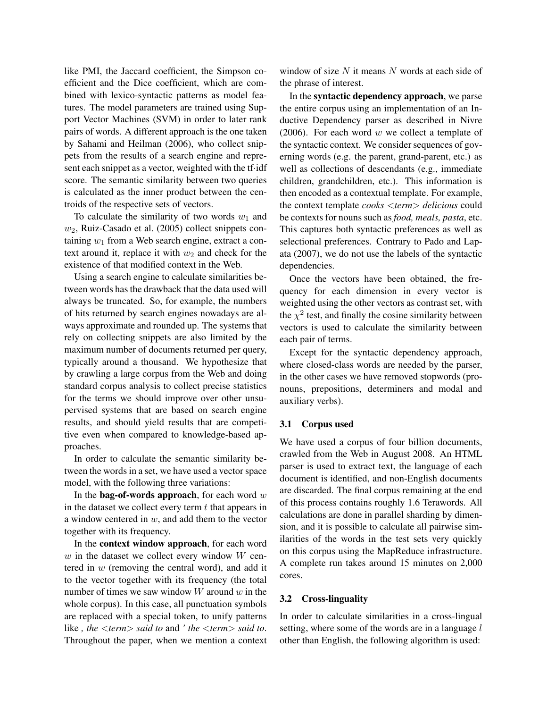like PMI, the Jaccard coefficient, the Simpson coefficient and the Dice coefficient, which are combined with lexico-syntactic patterns as model features. The model parameters are trained using Support Vector Machines (SVM) in order to later rank pairs of words. A different approach is the one taken by Sahami and Heilman (2006), who collect snippets from the results of a search engine and represent each snippet as a vector, weighted with the tf·idf score. The semantic similarity between two queries is calculated as the inner product between the centroids of the respective sets of vectors.

To calculate the similarity of two words  $w_1$  and  $w_2$ , Ruiz-Casado et al. (2005) collect snippets containing  $w_1$  from a Web search engine, extract a context around it, replace it with  $w_2$  and check for the existence of that modified context in the Web.

Using a search engine to calculate similarities between words has the drawback that the data used will always be truncated. So, for example, the numbers of hits returned by search engines nowadays are always approximate and rounded up. The systems that rely on collecting snippets are also limited by the maximum number of documents returned per query, typically around a thousand. We hypothesize that by crawling a large corpus from the Web and doing standard corpus analysis to collect precise statistics for the terms we should improve over other unsupervised systems that are based on search engine results, and should yield results that are competitive even when compared to knowledge-based approaches.

In order to calculate the semantic similarity between the words in a set, we have used a vector space model, with the following three variations:

In the **bag-of-words approach**, for each word  $w$ in the dataset we collect every term  $t$  that appears in a window centered in  $w$ , and add them to the vector together with its frequency.

In the context window approach, for each word  $w$  in the dataset we collect every window  $W$  centered in  $w$  (removing the central word), and add it to the vector together with its frequency (the total number of times we saw window  $W$  around  $w$  in the whole corpus). In this case, all punctuation symbols are replaced with a special token, to unify patterns like *, the* <*term*> *said to* and *' the* <*term*> *said to*. Throughout the paper, when we mention a context

window of size  $N$  it means  $N$  words at each side of the phrase of interest.

In the syntactic dependency approach, we parse the entire corpus using an implementation of an Inductive Dependency parser as described in Nivre (2006). For each word  $w$  we collect a template of the syntactic context. We consider sequences of governing words (e.g. the parent, grand-parent, etc.) as well as collections of descendants (e.g., immediate children, grandchildren, etc.). This information is then encoded as a contextual template. For example, the context template *cooks* <*term*> *delicious* could be contexts for nouns such as *food, meals, pasta*, etc. This captures both syntactic preferences as well as selectional preferences. Contrary to Pado and Lapata (2007), we do not use the labels of the syntactic dependencies.

Once the vectors have been obtained, the frequency for each dimension in every vector is weighted using the other vectors as contrast set, with the  $\chi^2$  test, and finally the cosine similarity between vectors is used to calculate the similarity between each pair of terms.

Except for the syntactic dependency approach, where closed-class words are needed by the parser, in the other cases we have removed stopwords (pronouns, prepositions, determiners and modal and auxiliary verbs).

#### 3.1 Corpus used

We have used a corpus of four billion documents, crawled from the Web in August 2008. An HTML parser is used to extract text, the language of each document is identified, and non-English documents are discarded. The final corpus remaining at the end of this process contains roughly 1.6 Terawords. All calculations are done in parallel sharding by dimension, and it is possible to calculate all pairwise similarities of the words in the test sets very quickly on this corpus using the MapReduce infrastructure. A complete run takes around 15 minutes on 2,000 cores.

#### 3.2 Cross-linguality

In order to calculate similarities in a cross-lingual setting, where some of the words are in a language  $l$ other than English, the following algorithm is used: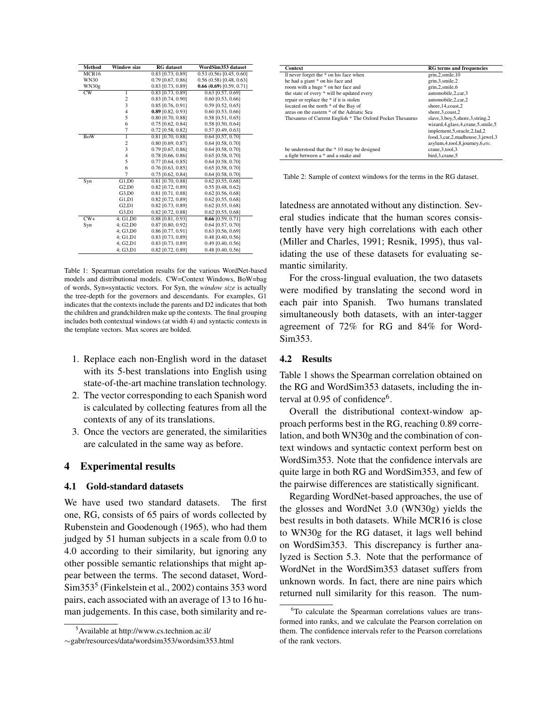| Method                 | <b>Window size</b>      | <b>RG</b> dataset   | WordSim353 dataset     |
|------------------------|-------------------------|---------------------|------------------------|
| MCR16                  |                         | 0.83 [0.73, 0.89]   | 0.53(0.56)[0.45, 0.60] |
| <b>WN30</b>            |                         | $0.79$ [0.67, 0.86] | 0.56(0.58)[0.48, 0.63] |
| WN30g                  |                         | 0.83 [0.73, 0.89]   | 0.66(0.69)[0.59, 0.71] |
| $\overline{\text{CW}}$ | 1                       | 0.83 [0.73, 0.89]   | $0.63$ [0.57, 0.69]    |
|                        | $\overline{\mathbf{c}}$ | 0.83 [0.74, 0.90]   | $0.60$ [0.53, 0.66]    |
|                        | 3                       | 0.85 [0.76, 0.91]   | $0.59$ [0.52, 0.65]    |
|                        | $\overline{4}$          | $0.89$ [0.82, 0.93] | $0.60$ [0.53, 0.66]    |
|                        | 5                       | 0.80 [0.70, 0.88]   | $0.58$ [0.51, 0.65]    |
|                        | 6                       | $0.75$ [0.62, 0.84] | 0.58 [0.50, 0.64]      |
|                        | $\overline{7}$          | 0.72 [0.58, 0.82]   | $0.57$ [0.49, 0.63]    |
| <b>BoW</b>             | $\overline{1}$          | $0.81$ [0.70, 0.88] | 0.64 [0.57, 0.70]      |
|                        | $\overline{\mathbf{c}}$ | 0.80 [0.69, 0.87]   | 0.64 [0.58, 0.70]      |
|                        | 3                       | $0.79$ [0.67, 0.86] | 0.64 [0.58, 0.70]      |
|                        | $\overline{4}$          | 0.78 [0.66, 0.86]   | 0.65 [0.58, 0.70]      |
|                        | 5                       | $0.77$ [0.64, 0.85] | $0.64$ [0.58, 0.70]    |
|                        | 6                       | $0.76$ [0.63, 0.85] | 0.65 [0.58, 0.70]      |
|                        | 7                       | $0.75$ [0.62, 0.84] | $0.64$ [0.58, 0.70]    |
| Syn                    | G1,D0                   | 0.81 [0.70, 0.88]   | $0.62$ [0.55, 0.68]    |
|                        | G2.D0                   | 0.82 [0.72, 0.89]   | 0.55 [0.48, 0.62]      |
|                        | G3.D0                   | 0.81 [0.71, 0.88]   | $0.62$ [0.56, 0.68]    |
|                        | G1.D1                   | 0.82 [0.72, 0.89]   | 0.62 [0.55, 0.68]      |
|                        | G2,D1                   | 0.82 [0.73, 0.89]   | $0.62$ [0.55, 0.68]    |
|                        | G3.D1                   | 0.82 [0.72, 0.88]   | $0.62$ [0.55, 0.68]    |
| $CW+$                  | $4:$ G1.D0              | 0.88 [0.81, 0.93]   | $0.66$ [0.59, 0.71]    |
| Syn                    | 4; G2,D0                | 0.87 [0.80, 0.92]   | $0.64$ [0.57, 0.70]    |
|                        | 4; G3,D0                | 0.86 [0.77, 0.91]   | 0.63 [0.56, 0.69]      |
|                        | 4: G1.D1                | 0.83 [0.73, 0.89]   | 0.48 [0.40, 0.56]      |
|                        | 4: G2.D1                | 0.83 [0.73, 0.89]   | $0.49$ [0.40, 0.56]    |
|                        | 4:G3.D1                 | 0.82 [0.72, 0.89]   | $0.48$ [0.40, 0.56]    |

Table 1: Spearman correlation results for the various WordNet-based models and distributional models. CW=Context Windows, BoW=bag of words, Syn=syntactic vectors. For Syn, the *window size* is actually the tree-depth for the governors and descendants. For examples, G1 indicates that the contexts include the parents and D2 indicates that both the children and grandchildren make up the contexts. The final grouping includes both contextual windows (at width 4) and syntactic contexts in the template vectors. Max scores are bolded.

- 1. Replace each non-English word in the dataset with its 5-best translations into English using state-of-the-art machine translation technology.
- 2. The vector corresponding to each Spanish word is calculated by collecting features from all the contexts of any of its translations.
- 3. Once the vectors are generated, the similarities are calculated in the same way as before.

## 4 Experimental results

### 4.1 Gold-standard datasets

We have used two standard datasets. The first one, RG, consists of 65 pairs of words collected by Rubenstein and Goodenough (1965), who had them judged by 51 human subjects in a scale from 0.0 to 4.0 according to their similarity, but ignoring any other possible semantic relationships that might appear between the terms. The second dataset, Word-Sim353<sup>5</sup> (Finkelstein et al., 2002) contains 353 word pairs, each associated with an average of 13 to 16 human judgements. In this case, both similarity and re-

| <b>Context</b>                                             | <b>RG</b> terms and frequencies                                                                                     |
|------------------------------------------------------------|---------------------------------------------------------------------------------------------------------------------|
| Il never forget the * on his face when                     | grin, 2, smile, 10                                                                                                  |
| he had a giant * on his face and                           | grin, 3, smile, 2                                                                                                   |
| room with a huge * on her face and                         | grin, 2, smile, 6                                                                                                   |
| the state of every * will be updated every                 | automobile.2.car.3                                                                                                  |
| repair or replace the * if it is stolen                    | automobile.2.car.2                                                                                                  |
| located on the north * of the Bay of                       | shore, 14, coast, 2                                                                                                 |
| areas on the eastern * of the Adriatic Sea                 | shore.3.coast.2                                                                                                     |
| Thesaurus of Current English * The Oxford Pocket Thesaurus | slave, 3, boy, 5, shore, 3, string, 2<br>wizard, 4, glass, 4, crane, 5, smile, 5<br>implement, 5, oracle, 2, lad, 2 |
|                                                            | food, 3, car, 2, madhouse, 3, jewel, 3<br>asylum, 4, tool, 8, journey, 6, etc.                                      |
| be understood that the *10 may be designed                 | crane.3.tool.3                                                                                                      |
| a fight between a * and a snake and                        | bird, 3, crane, 5                                                                                                   |

Table 2: Sample of context windows for the terms in the RG dataset.

latedness are annotated without any distinction. Several studies indicate that the human scores consistently have very high correlations with each other (Miller and Charles, 1991; Resnik, 1995), thus validating the use of these datasets for evaluating semantic similarity.

For the cross-lingual evaluation, the two datasets were modified by translating the second word in each pair into Spanish. Two humans translated simultaneously both datasets, with an inter-tagger agreement of 72% for RG and 84% for Word-Sim353.

## 4.2 Results

Table 1 shows the Spearman correlation obtained on the RG and WordSim353 datasets, including the interval at 0.95 of confidence<sup>6</sup>.

Overall the distributional context-window approach performs best in the RG, reaching 0.89 correlation, and both WN30g and the combination of context windows and syntactic context perform best on WordSim353. Note that the confidence intervals are quite large in both RG and WordSim353, and few of the pairwise differences are statistically significant.

Regarding WordNet-based approaches, the use of the glosses and WordNet 3.0 (WN30g) yields the best results in both datasets. While MCR16 is close to WN30g for the RG dataset, it lags well behind on WordSim353. This discrepancy is further analyzed is Section 5.3. Note that the performance of WordNet in the WordSim353 dataset suffers from unknown words. In fact, there are nine pairs which returned null similarity for this reason. The num-

<sup>5</sup>Available at http://www.cs.technion.ac.il/

<sup>∼</sup>gabr/resources/data/wordsim353/wordsim353.html

<sup>6</sup>To calculate the Spearman correlations values are transformed into ranks, and we calculate the Pearson correlation on them. The confidence intervals refer to the Pearson correlations of the rank vectors.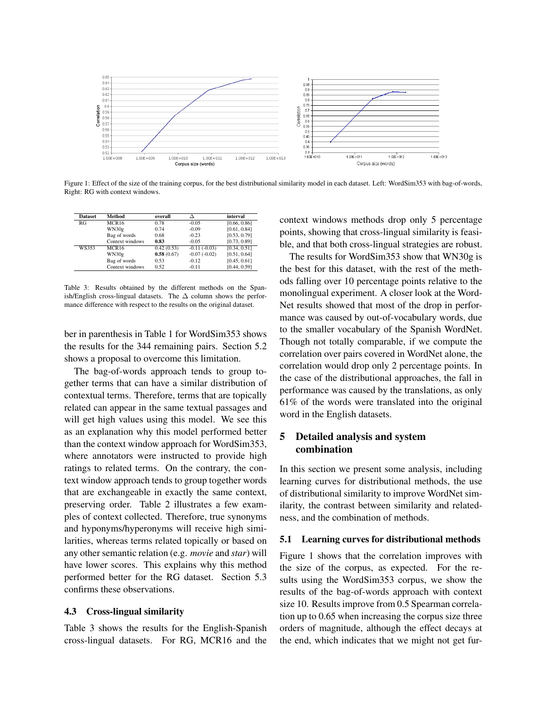

Figure 1: Effect of the size of the training corpus, for the best distributional similarity model in each dataset. Left: WordSim353 with bag-of-words, Right: RG with context windows.

| <b>Dataset</b> | Method            | overall    |                | interval     |
|----------------|-------------------|------------|----------------|--------------|
| RG             | MCR <sub>16</sub> | 0.78       | $-0.05$        | [0.66, 0.86] |
|                | WN30g             | 0.74       | $-0.09$        | [0.61, 0.84] |
|                | Bag of words      | 0.68       | $-0.23$        | [0.53, 0.79] |
|                | Context windows   | 0.83       | $-0.05$        | [0.73, 0.89] |
| WS353          | <b>MCR16</b>      | 0.42(0.53) | $-0.11(-0.03)$ | [0.34, 0.51] |
|                | WN30g             | 0.58(0.67) | $-0.07(-0.02)$ | [0.51, 0.64] |
|                | Bag of words      | 0.53       | $-0.12$        | [0.45, 0.61] |
|                | Context windows   | 0.52       | $-0.11$        | [0.44, 0.59] |

Table 3: Results obtained by the different methods on the Spanish/English cross-lingual datasets. The  $\Delta$  column shows the performance difference with respect to the results on the original dataset.

ber in parenthesis in Table 1 for WordSim353 shows the results for the 344 remaining pairs. Section 5.2 shows a proposal to overcome this limitation.

The bag-of-words approach tends to group together terms that can have a similar distribution of contextual terms. Therefore, terms that are topically related can appear in the same textual passages and will get high values using this model. We see this as an explanation why this model performed better than the context window approach for WordSim353, where annotators were instructed to provide high ratings to related terms. On the contrary, the context window approach tends to group together words that are exchangeable in exactly the same context, preserving order. Table 2 illustrates a few examples of context collected. Therefore, true synonyms and hyponyms/hyperonyms will receive high similarities, whereas terms related topically or based on any other semantic relation (e.g. *movie* and *star*) will have lower scores. This explains why this method performed better for the RG dataset. Section 5.3 confirms these observations.

#### 4.3 Cross-lingual similarity

Table 3 shows the results for the English-Spanish cross-lingual datasets. For RG, MCR16 and the context windows methods drop only 5 percentage points, showing that cross-lingual similarity is feasible, and that both cross-lingual strategies are robust.

The results for WordSim353 show that WN30g is the best for this dataset, with the rest of the methods falling over 10 percentage points relative to the monolingual experiment. A closer look at the Word-Net results showed that most of the drop in performance was caused by out-of-vocabulary words, due to the smaller vocabulary of the Spanish WordNet. Though not totally comparable, if we compute the correlation over pairs covered in WordNet alone, the correlation would drop only 2 percentage points. In the case of the distributional approaches, the fall in performance was caused by the translations, as only 61% of the words were translated into the original word in the English datasets.

# 5 Detailed analysis and system combination

In this section we present some analysis, including learning curves for distributional methods, the use of distributional similarity to improve WordNet similarity, the contrast between similarity and relatedness, and the combination of methods.

#### 5.1 Learning curves for distributional methods

Figure 1 shows that the correlation improves with the size of the corpus, as expected. For the results using the WordSim353 corpus, we show the results of the bag-of-words approach with context size 10. Results improve from 0.5 Spearman correlation up to 0.65 when increasing the corpus size three orders of magnitude, although the effect decays at the end, which indicates that we might not get fur-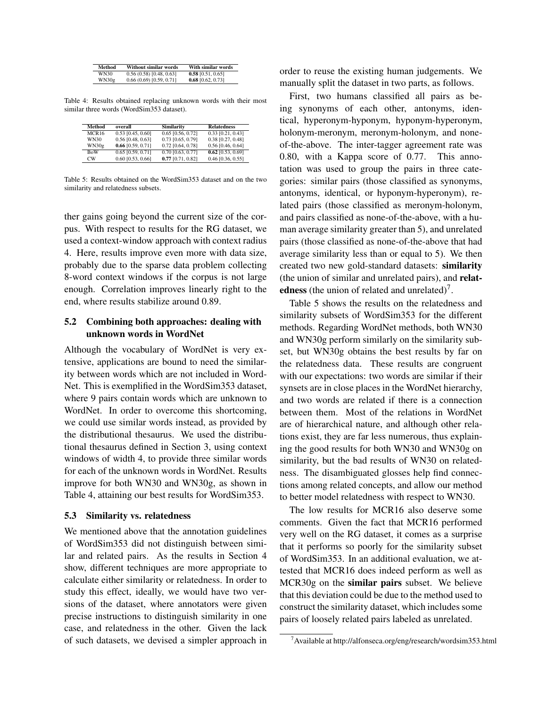| Method | Without similar words  | With similar words  |
|--------|------------------------|---------------------|
| WN30   | 0.56(0.58)[0.48, 0.63] | $0.58$ [0.51, 0.65] |
| WN30g  | 0.66(0.69)[0.59, 0.71] | $0.68$ [0.62, 0.73] |

Table 4: Results obtained replacing unknown words with their most similar three words (WordSim353 dataset).

| Method         | overall             | Similarity          | <b>Relatedness</b>  |
|----------------|---------------------|---------------------|---------------------|
| MCR16          | $0.53$ [0.45, 0.60] | $0.65$ [0.56, 0.72] | $0.33$ [0.21, 0.43] |
| WN30           | $0.56$ [0.48, 0.63] | 0.73 [0.65, 0.79]   | 0.38 [0.27, 0.48]   |
| WN30g          | $0.66$ [0.59, 0.71] | 0.72 [0.64, 0.78]   | 0.56 [0.46, 0.64]   |
| <b>BoW</b>     | $0.65$ [0.59, 0.71] | $0.70$ [0.63, 0.77] | $0.62$ [0.53, 0.69] |
| $_{\text{CW}}$ | $0.60$ [0.53, 0.66] | $0.77$ [0.71, 0.82] | $0.46$ [0.36, 0.55] |

Table 5: Results obtained on the WordSim353 dataset and on the two similarity and relatedness subsets.

ther gains going beyond the current size of the corpus. With respect to results for the RG dataset, we used a context-window approach with context radius 4. Here, results improve even more with data size, probably due to the sparse data problem collecting 8-word context windows if the corpus is not large enough. Correlation improves linearly right to the end, where results stabilize around 0.89.

# 5.2 Combining both approaches: dealing with unknown words in WordNet

Although the vocabulary of WordNet is very extensive, applications are bound to need the similarity between words which are not included in Word-Net. This is exemplified in the WordSim353 dataset, where 9 pairs contain words which are unknown to WordNet. In order to overcome this shortcoming, we could use similar words instead, as provided by the distributional thesaurus. We used the distributional thesaurus defined in Section 3, using context windows of width 4, to provide three similar words for each of the unknown words in WordNet. Results improve for both WN30 and WN30g, as shown in Table 4, attaining our best results for WordSim353.

#### 5.3 Similarity vs. relatedness

We mentioned above that the annotation guidelines of WordSim353 did not distinguish between similar and related pairs. As the results in Section 4 show, different techniques are more appropriate to calculate either similarity or relatedness. In order to study this effect, ideally, we would have two versions of the dataset, where annotators were given precise instructions to distinguish similarity in one case, and relatedness in the other. Given the lack of such datasets, we devised a simpler approach in order to reuse the existing human judgements. We manually split the dataset in two parts, as follows.

First, two humans classified all pairs as being synonyms of each other, antonyms, identical, hyperonym-hyponym, hyponym-hyperonym, holonym-meronym, meronym-holonym, and noneof-the-above. The inter-tagger agreement rate was 0.80, with a Kappa score of 0.77. This annotation was used to group the pairs in three categories: similar pairs (those classified as synonyms, antonyms, identical, or hyponym-hyperonym), related pairs (those classified as meronym-holonym, and pairs classified as none-of-the-above, with a human average similarity greater than 5), and unrelated pairs (those classified as none-of-the-above that had average similarity less than or equal to 5). We then created two new gold-standard datasets: similarity (the union of similar and unrelated pairs), and relatedness (the union of related and unrelated)<sup>7</sup>.

Table 5 shows the results on the relatedness and similarity subsets of WordSim353 for the different methods. Regarding WordNet methods, both WN30 and WN30g perform similarly on the similarity subset, but WN30g obtains the best results by far on the relatedness data. These results are congruent with our expectations: two words are similar if their synsets are in close places in the WordNet hierarchy, and two words are related if there is a connection between them. Most of the relations in WordNet are of hierarchical nature, and although other relations exist, they are far less numerous, thus explaining the good results for both WN30 and WN30g on similarity, but the bad results of WN30 on relatedness. The disambiguated glosses help find connections among related concepts, and allow our method to better model relatedness with respect to WN30.

The low results for MCR16 also deserve some comments. Given the fact that MCR16 performed very well on the RG dataset, it comes as a surprise that it performs so poorly for the similarity subset of WordSim353. In an additional evaluation, we attested that MCR16 does indeed perform as well as MCR30g on the similar pairs subset. We believe that this deviation could be due to the method used to construct the similarity dataset, which includes some pairs of loosely related pairs labeled as unrelated.

<sup>7</sup>Available at http://alfonseca.org/eng/research/wordsim353.html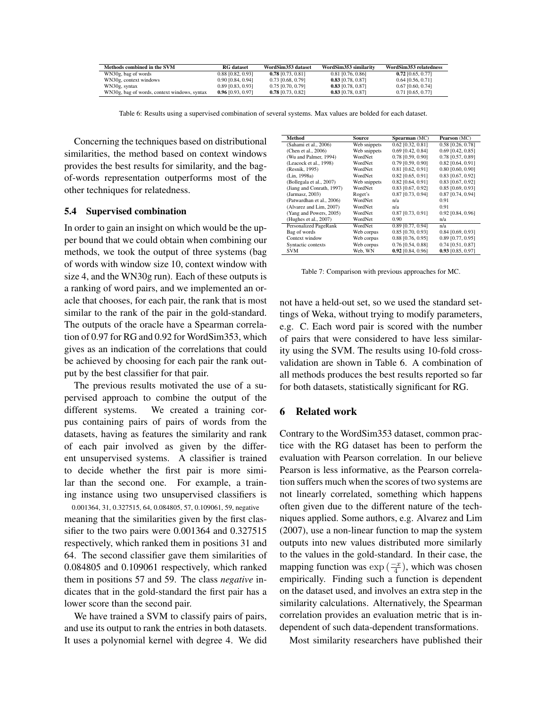| Methods combined in the SVM                  | <b>RG</b> dataset   | WordSim353 dataset  | WordSim353 similarity | WordSim353 relatedness |
|----------------------------------------------|---------------------|---------------------|-----------------------|------------------------|
| WN30g, bag of words                          | 0.88 [0.82, 0.93]   | $0.78$ [0.73, 0.81] | 0.81 [0.76, 0.86]     | $0.72$ [0.65, 0.77]    |
| WN30g, context windows                       | $0.90$ [0.84, 0.94] | 0.73 [0.68, 0.79]   | $0.83$ [0.78, 0.87]   | $0.64$ [0.56, 0.71]    |
| WN30g, syntax                                | 0.89 [0.83, 0.93]   | 0.75 [0.70, 0.79]   | $0.83$ [0.78, 0.87]   | $0.67$ [0.60, 0.74]    |
| WN30g, bag of words, context windows, syntax | $0.96$ [0.93, 0.97] | $0.78$ [0.73, 0.82] | $0.83$ [0.78, 0.87]   | 0.71 [0.65, 0.77]      |

Table 6: Results using a supervised combination of several systems. Max values are bolded for each dataset.

Concerning the techniques based on distributional similarities, the method based on context windows provides the best results for similarity, and the bagof-words representation outperforms most of the other techniques for relatedness.

#### 5.4 Supervised combination

In order to gain an insight on which would be the upper bound that we could obtain when combining our methods, we took the output of three systems (bag of words with window size 10, context window with size 4, and the WN30g run). Each of these outputs is a ranking of word pairs, and we implemented an oracle that chooses, for each pair, the rank that is most similar to the rank of the pair in the gold-standard. The outputs of the oracle have a Spearman correlation of 0.97 for RG and 0.92 for WordSim353, which gives as an indication of the correlations that could be achieved by choosing for each pair the rank output by the best classifier for that pair.

The previous results motivated the use of a supervised approach to combine the output of the different systems. We created a training corpus containing pairs of pairs of words from the datasets, having as features the similarity and rank of each pair involved as given by the different unsupervised systems. A classifier is trained to decide whether the first pair is more similar than the second one. For example, a training instance using two unsupervised classifiers is

0.001364, 31, 0.327515, 64, 0.084805, 57, 0.109061, 59, negative meaning that the similarities given by the first classifier to the two pairs were 0.001364 and 0.327515 respectively, which ranked them in positions 31 and 64. The second classifier gave them similarities of 0.084805 and 0.109061 respectively, which ranked them in positions 57 and 59. The class *negative* indicates that in the gold-standard the first pair has a lower score than the second pair.

We have trained a SVM to classify pairs of pairs, and use its output to rank the entries in both datasets. It uses a polynomial kernel with degree 4. We did

| Method                    | Source       | Spearman (MC)       | Pearson (MC)        |
|---------------------------|--------------|---------------------|---------------------|
| (Sahami et al., 2006)     | Web snippets | $0.62$ [0.32, 0.81] | 0.58 [0.26, 0.78]   |
| (Chen et al., 2006)       | Web snippets | $0.69$ [0.42, 0.84] | $0.69$ [0.42, 0.85] |
| (Wu and Palmer, 1994)     | WordNet      | 0.78 [0.59, 0.90]   | 0.78 [0.57, 0.89]   |
| (Leacock et al., 1998)    | WordNet      | 0.79 [0.59, 0.90]   | $0.82$ [0.64, 0.91] |
| (Resnik, 1995)            | WordNet      | 0.81 [0.62, 0.91]   | $0.80$ [0.60, 0.90] |
| (Lin. 1998a)              | WordNet      | 0.82 [0.65, 0.91]   | $0.83$ [0.67, 0.92] |
| (Bollegala et al., 2007)  | Web snippets | $0.82$ [0.64, 0.91] | $0.83$ [0.67, 0.92] |
| (Jiang and Conrath, 1997) | WordNet      | 0.83 [0.67, 0.92]   | $0.85$ [0.69, 0.93] |
| (Jarmasz, 2003)           | Roget's      | 0.87 [0.73, 0.94]   | $0.87$ [0.74, 0.94] |
| (Patwardhan et al., 2006) | WordNet      | n/a                 | 0.91                |
| (Alvarez and Lim, 2007)   | WordNet      | n/a                 | 0.91                |
| (Yang and Powers, 2005)   | WordNet      | 0.87 [0.73, 0.91]   | 0.92 [0.84, 0.96]   |
| (Hughes et al., 2007)     | WordNet      | 0.90                | n/a                 |
| Personalized PageRank     | WordNet      | $0.89$ [0.77, 0.94] | n/a                 |
| Bag of words              | Web corpus   | 0.85 [0.70, 0.93]   | $0.84$ [0.69, 0.93] |
| Context window            | Web corpus   | 0.88 [0.76, 0.95]   | 0.89 [0.77, 0.95]   |
| Syntactic contexts        | Web corpus   | $0.76$ [0.54, 0.88] | 0.74 [0.51, 0.87]   |
| <b>SVM</b>                | Web, WN      | $0.92$ [0.84, 0.96] | 0.93 [0.85, 0.97]   |

Table 7: Comparison with previous approaches for MC.

not have a held-out set, so we used the standard settings of Weka, without trying to modify parameters, e.g. C. Each word pair is scored with the number of pairs that were considered to have less similarity using the SVM. The results using 10-fold crossvalidation are shown in Table 6. A combination of all methods produces the best results reported so far for both datasets, statistically significant for RG.

#### 6 Related work

Contrary to the WordSim353 dataset, common practice with the RG dataset has been to perform the evaluation with Pearson correlation. In our believe Pearson is less informative, as the Pearson correlation suffers much when the scores of two systems are not linearly correlated, something which happens often given due to the different nature of the techniques applied. Some authors, e.g. Alvarez and Lim (2007), use a non-linear function to map the system outputs into new values distributed more similarly to the values in the gold-standard. In their case, the mapping function was  $\exp\left(\frac{-x}{4}\right)$ , which was chosen empirically. Finding such a function is dependent on the dataset used, and involves an extra step in the similarity calculations. Alternatively, the Spearman correlation provides an evaluation metric that is independent of such data-dependent transformations.

Most similarity researchers have published their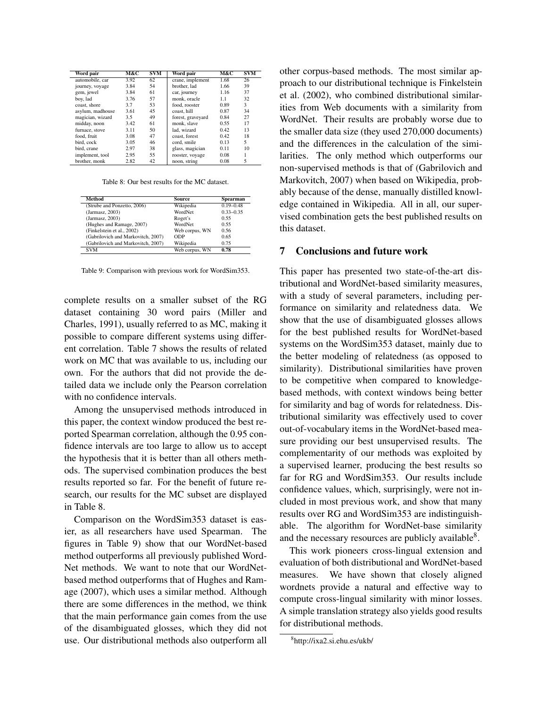| Word pair        | M&C  | <b>SVM</b> | Word pair         | M&C  | <b>SVM</b> |
|------------------|------|------------|-------------------|------|------------|
| automobile, car  | 3.92 | 62         | crane, implement  | 1.68 | 26         |
| journey, voyage  | 3.84 | 54         | brother, lad      | 1.66 | 39         |
| gem, jewel       | 3.84 | 61         | car, journey      | 1.16 | 37         |
| boy, lad         | 3.76 | 57         | monk, oracle      | 1.1  | 32         |
| coast, shore     | 3.7  | 53         | food, rooster     | 0.89 | 3          |
| asylum, madhouse | 3.61 | 45         | coast, hill       | 0.87 | 34         |
| magician, wizard | 3.5  | 49         | forest, graveyard | 0.84 | 27         |
| midday, noon     | 3.42 | 61         | monk, slave       | 0.55 | 17         |
| furnace, stove   | 3.11 | 50         | lad. wizard       | 0.42 | 13         |
| food, fruit      | 3.08 | 47         | coast, forest     | 0.42 | 18         |
| bird, cock       | 3.05 | 46         | cord, smile       | 0.13 | 5          |
| bird, crane      | 2.97 | 38         | glass, magician   | 0.11 | 10         |
| implement, tool  | 2.95 | 55         | rooster, voyage   | 0.08 |            |
| brother, monk    | 2.82 | 42         | noon, string      | 0.08 | 5          |

Table 8: Our best results for the MC dataset.

| Method                             | <b>Source</b>  | Spearman      |
|------------------------------------|----------------|---------------|
| (Strube and Ponzetto, 2006)        | Wikipedia      | $0.19 - 0.48$ |
| (Jarmasz, 2003)                    | WordNet        | $0.33 - 0.35$ |
| (Jarmasz, 2003)                    | Roget's        | 0.55          |
| (Hughes and Ramage, 2007)          | WordNet        | 0.55          |
| (Finkelstein et al., 2002)         | Web corpus, WN | 0.56          |
| (Gabrilovich and Markovitch, 2007) | ODP            | 0.65          |
| (Gabrilovich and Markovitch, 2007) | Wikipedia      | 0.75          |
| <b>SVM</b>                         | Web corpus, WN | 0.78          |

Table 9: Comparison with previous work for WordSim353.

complete results on a smaller subset of the RG dataset containing 30 word pairs (Miller and Charles, 1991), usually referred to as MC, making it possible to compare different systems using different correlation. Table 7 shows the results of related work on MC that was available to us, including our own. For the authors that did not provide the detailed data we include only the Pearson correlation with no confidence intervals.

Among the unsupervised methods introduced in this paper, the context window produced the best reported Spearman correlation, although the 0.95 confidence intervals are too large to allow us to accept the hypothesis that it is better than all others methods. The supervised combination produces the best results reported so far. For the benefit of future research, our results for the MC subset are displayed in Table 8.

Comparison on the WordSim353 dataset is easier, as all researchers have used Spearman. The figures in Table 9) show that our WordNet-based method outperforms all previously published Word-Net methods. We want to note that our WordNetbased method outperforms that of Hughes and Ramage (2007), which uses a similar method. Although there are some differences in the method, we think that the main performance gain comes from the use of the disambiguated glosses, which they did not use. Our distributional methods also outperform all other corpus-based methods. The most similar approach to our distributional technique is Finkelstein et al. (2002), who combined distributional similarities from Web documents with a similarity from WordNet. Their results are probably worse due to the smaller data size (they used 270,000 documents) and the differences in the calculation of the similarities. The only method which outperforms our non-supervised methods is that of (Gabrilovich and Markovitch, 2007) when based on Wikipedia, probably because of the dense, manually distilled knowledge contained in Wikipedia. All in all, our supervised combination gets the best published results on this dataset.

## 7 Conclusions and future work

This paper has presented two state-of-the-art distributional and WordNet-based similarity measures, with a study of several parameters, including performance on similarity and relatedness data. We show that the use of disambiguated glosses allows for the best published results for WordNet-based systems on the WordSim353 dataset, mainly due to the better modeling of relatedness (as opposed to similarity). Distributional similarities have proven to be competitive when compared to knowledgebased methods, with context windows being better for similarity and bag of words for relatedness. Distributional similarity was effectively used to cover out-of-vocabulary items in the WordNet-based measure providing our best unsupervised results. The complementarity of our methods was exploited by a supervised learner, producing the best results so far for RG and WordSim353. Our results include confidence values, which, surprisingly, were not included in most previous work, and show that many results over RG and WordSim353 are indistinguishable. The algorithm for WordNet-base similarity and the necessary resources are publicly available<sup>8</sup>.

This work pioneers cross-lingual extension and evaluation of both distributional and WordNet-based measures. We have shown that closely aligned wordnets provide a natural and effective way to compute cross-lingual similarity with minor losses. A simple translation strategy also yields good results for distributional methods.

<sup>8</sup> http://ixa2.si.ehu.es/ukb/